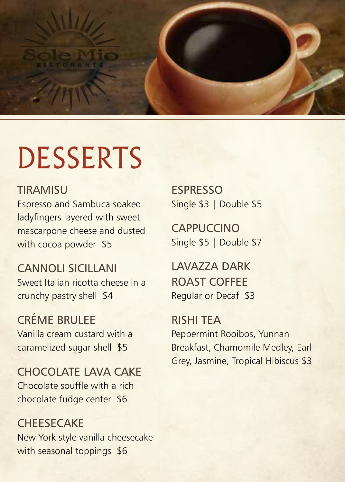

## DESSERTS

## **TIRAMISU**

Espresso and Sambuca soaked ladyfingers layered with sweet mascarpone cheese and dusted with cocoa powder \$5

## CANNOLI SICILLANI Sweet Italian ricotta cheese in a crunchy pastry shell \$4

CRÉME BRULEE Vanilla cream custard with a caramelized sugar shell \$5

CHOCOLATE LAVA CAKE Chocolate souffle with a rich chocolate fudge center \$6

**CHEESECAKE** New York style vanilla cheesecake with seasonal toppings \$6

ESPRESSO Single \$3 | Double \$5

**CAPPUCCINO** Single \$5 | Double \$7

LAVAZZA DARK ROAST COFFEE Regular or Decaf \$3

RISHI TEA Peppermint Rooibos, Yunnan Breakfast, Chamomile Medley, Earl Grey, Jasmine, Tropical Hibiscus \$3